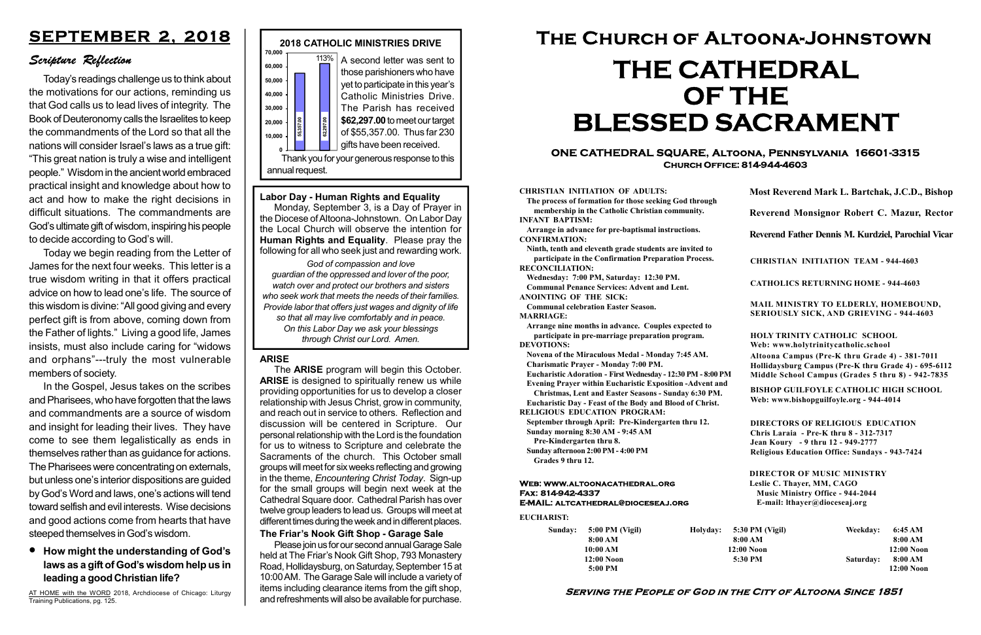#### Serving the People of God in the City of Altoona Since 1851

Sunday: 5:00 PM (Vigil) 8:00 AM 10:00 AM 12:00 Noon 5:00 PM

Holyday:

#### Web: www.altoonacathedral.org Fax: 814-942-4337 E-MAIL: altcathedral@dioceseaj.org

EUCHARIST:

#### CHRISTIAN INITIATION OF ADULTS:

The process of formation for those seeking God through membership in the Catholic Christian community. INFANT BAPTISM:

Arrange in advance for pre-baptismal instructions. CONFIRMATION:

Ninth, tenth and eleventh grade students are invited to participate in the Confirmation Preparation Process. RECONCILIATION:

Wednesday: 7:00 PM, Saturday: 12:30 PM. Communal Penance Services: Advent and Lent.

ANOINTING OF THE SICK:

Communal celebration Easter Season. MARRIAGE:

Arrange nine months in advance. Couples expected to participate in pre-marriage preparation program. DEVOTIONS:

Novena of the Miraculous Medal - Monday 7:45 AM.

Charismatic Prayer - Monday 7:00 PM. Eucharistic Adoration - First Wednesday - 12:30 PM - 8:00 PM

Evening Prayer within Eucharistic Exposition -Advent and

Christmas, Lent and Easter Seasons - Sunday 6:30 PM.

|                         | Most Reverend Mark L. Bartchak, J.C.D., Bishop<br>Reverend Monsignor Robert C. Mazur, Rector                                                                                    |           |                         |
|-------------------------|---------------------------------------------------------------------------------------------------------------------------------------------------------------------------------|-----------|-------------------------|
|                         |                                                                                                                                                                                 |           |                         |
|                         | Reverend Father Dennis M. Kurdziel, Parochial Vicar                                                                                                                             |           |                         |
|                         | <b>CHRISTIAN INITIATION TEAM - 944-4603</b>                                                                                                                                     |           |                         |
|                         | <b>CATHOLICS RETURNING HOME - 944-4603</b>                                                                                                                                      |           |                         |
|                         | MAIL MINISTRY TO ELDERLY, HOMEBOUND,<br><b>SERIOUSLY SICK, AND GRIEVING - 944-4603</b>                                                                                          |           |                         |
|                         | <b>HOLY TRINITY CATHOLIC SCHOOL</b><br>Web: www.holytrinitycatholic.school                                                                                                      |           |                         |
| М                       | Altoona Campus (Pre-K thru Grade 4) - 381-7011<br>Hollidaysburg Campus (Pre-K thru Grade 4) - 695-6112<br>Middle School Campus (Grades 5 thru 8) - 942-7835                     |           |                         |
| ł                       | <b>BISHOP GUILFOYLE CATHOLIC HIGH SCHOOL</b><br>Web: www.bishopguilfoyle.org - 944-4014                                                                                         |           |                         |
|                         | <b>DIRECTORS OF RELIGIOUS EDUCATION</b><br>Chris Laraia - Pre-K thru 8 - 312-7317<br>Jean Koury - 9 thru 12 - 949-2777<br><b>Religious Education Office: Sundays - 943-7424</b> |           |                         |
|                         | <b>DIRECTOR OF MUSIC MINISTRY</b><br>Leslie C. Thayer, MM, CAGO<br><b>Music Ministry Office - 944-2044</b><br>E-mail: lthayer@dioceseaj.org                                     |           |                         |
| 5:30 PM (Vigil)         |                                                                                                                                                                                 | Weekday:  | 6:45 AM                 |
| 8:00 AM<br>$12:00$ Noon |                                                                                                                                                                                 |           | 8:00 AM<br>12:00 Noon   |
|                         | 5:30 PM                                                                                                                                                                         | Saturday: | 8:00 AM<br>$12:00$ Noon |
|                         |                                                                                                                                                                                 |           |                         |

Eucharistic Day - Feast of the Body and Blood of Christ. RELIGIOUS EDUCATION PROGRAM:

September through April: Pre-Kindergarten thru 12.

Sunday morning 8:30 AM - 9:45 AM



Pre-Kindergarten thru 8.

Sunday afternoon 2:00 PM - 4:00 PM Grades 9 thru 12.

#### ONE CATHEDRAL SQUARE, Altoona, Pennsylvania 16601-3315 Church Office: 814-944-4603

# The Church of Altoona-Johnstown THE CATHEDRAL OF THE BLESSED SACRAMENT

# SEPTEMBER 2, 2018

# Scripture Reflection

# How might the understanding of God's laws as a gift of God's wisdom help us in leading a good Christian life?

The **ARISE** program will begin this October. ARISE is designed to spiritually renew us while providing opportunities for us to develop a closer relationship with Jesus Christ, grow in community, and reach out in service to others. Reflection and discussion will be centered in Scripture. Our personal relationship with the Lord is the foundation for us to witness to Scripture and celebrate the Sacraments of the church. This October small groups will meet for six weeks reflecting and growing in the theme, Encountering Christ Today. Sign-up for the small groups will begin next week at the Cathedral Square door. Cathedral Parish has over twelve group leaders to lead us. Groups will meet at different times during the week and in different places.

Today's readings challenge us to think about the motivations for our actions, reminding us that God calls us to lead lives of integrity. The Book of Deuteronomy calls the Israelites to keep the commandments of the Lord so that all the nations will consider Israel's laws as a true gift: "This great nation is truly a wise and intelligent people." Wisdom in the ancient world embraced practical insight and knowledge about how to act and how to make the right decisions in difficult situations. The commandments are God's ultimate gift of wisdom, inspiring his people to decide according to God's will.

Today we begin reading from the Letter of James for the next four weeks. This letter is a true wisdom writing in that it offers practical advice on how to lead one's life. The source of this wisdom is divine: "All good giving and every perfect gift is from above, coming down from the Father of lights." Living a good life, James insists, must also include caring for "widows and orphans"---truly the most vulnerable members of society.

In the Gospel, Jesus takes on the scribes and Pharisees, who have forgotten that the laws and commandments are a source of wisdom and insight for leading their lives. They have come to see them legalistically as ends in themselves rather than as guidance for actions. The Pharisees were concentrating on externals, but unless one's interior dispositions are guided by God's Word and laws, one's actions will tend toward selfish and evil interests. Wise decisions and good actions come from hearts that have steeped themselves in God's wisdom.

AT HOME with the WORD 2018, Archdiocese of Chicago: Liturgy Training Publications, pg. 125.

Labor Day - Human Rights and Equality Monday, September 3, is a Day of Prayer in the Diocese of Altoona-Johnstown. On Labor Day the Local Church will observe the intention for Human Rights and Equality. Please pray the following for all who seek just and rewarding work.

God of compassion and love guardian of the oppressed and lover of the poor, watch over and protect our brothers and sisters who seek work that meets the needs of their families. Provide labor that offers just wages and dignity of life so that all may live comfortably and in peace. On this Labor Day we ask your blessings through Christ our Lord. Amen.

#### ARISE

#### The Friar's Nook Gift Shop - Garage Sale

Please join us for our second annual Garage Sale held at The Friar's Nook Gift Shop, 793 Monastery Road, Hollidaysburg, on Saturday, September 15 at 10:00 AM. The Garage Sale will include a variety of items including clearance items from the gift shop, and refreshments will also be available for purchase.